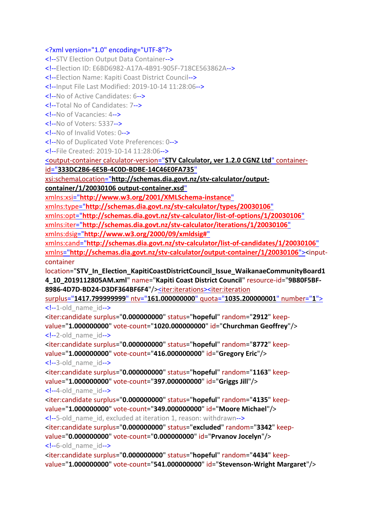## <?xml version="1.0" encoding="UTF-8"?>

<!--STV Election Output Data Container--> <!--Election ID: E6BD6982-A17A-4B91-905F-718CE563862A--> <!--Election Name: Kapiti Coast District Council--> <!--Input File Last Modified: 2019-10-14 11:28:06--> <!--No of Active Candidates: 6--> <!--Total No of Candidates: 7--> <!--No of Vacancies: 4--> <!--No of Voters: 5337--> <!--No of Invalid Votes: 0--> <!--No of Duplicated Vote Preferences: 0--> <!--File Created: 2019-10-14 11:28:06--> <output-container calculator-version="**[STV Calculator, ver 1.2.0 CGNZ Ltd](file:///C:/Program%20Files%20(x86)/STVCalculator/STVR/STV_Result_Election_KapitiCoastDistrictCouncil_Issue_WaikanaeCommunityBoard14_10_2019112805AM_N.xml)**" containerid="**[333DC2B6-6E5B-4C0D-BDBE-14C46E0FA735](file:///C:/Program%20Files%20(x86)/STVCalculator/STVR/STV_Result_Election_KapitiCoastDistrictCouncil_Issue_WaikanaeCommunityBoard14_10_2019112805AM_N.xml)**" xsi:schemaLocation="**[http://schemas.dia.govt.nz/stv-calculator/output](file:///C:/Program%20Files%20(x86)/STVCalculator/STVR/STV_Result_Election_KapitiCoastDistrictCouncil_Issue_WaikanaeCommunityBoard14_10_2019112805AM_N.xml)[container/1/20030106 output-container.xsd](file:///C:/Program%20Files%20(x86)/STVCalculator/STVR/STV_Result_Election_KapitiCoastDistrictCouncil_Issue_WaikanaeCommunityBoard14_10_2019112805AM_N.xml)**" xmlns:xsi="**[http://www.w3.org/2001/XMLSchema-instance](file:///C:/Program%20Files%20(x86)/STVCalculator/STVR/STV_Result_Election_KapitiCoastDistrictCouncil_Issue_WaikanaeCommunityBoard14_10_2019112805AM_N.xml)**" xmlns:type="**[http://schemas.dia.govt.nz/stv-calculator/types/20030106](file:///C:/Program%20Files%20(x86)/STVCalculator/STVR/STV_Result_Election_KapitiCoastDistrictCouncil_Issue_WaikanaeCommunityBoard14_10_2019112805AM_N.xml)**" xmlns:opt="**[http://schemas.dia.govt.nz/stv-calculator/list-of-options/1/20030106](file:///C:/Program%20Files%20(x86)/STVCalculator/STVR/STV_Result_Election_KapitiCoastDistrictCouncil_Issue_WaikanaeCommunityBoard14_10_2019112805AM_N.xml)**" xmlns:iter="**[http://schemas.dia.govt.nz/stv-calculator/iterations/1/20030106](file:///C:/Program%20Files%20(x86)/STVCalculator/STVR/STV_Result_Election_KapitiCoastDistrictCouncil_Issue_WaikanaeCommunityBoard14_10_2019112805AM_N.xml)**" xmlns:dsig="**[http://www.w3.org/2000/09/xmldsig#](file:///C:/Program%20Files%20(x86)/STVCalculator/STVR/STV_Result_Election_KapitiCoastDistrictCouncil_Issue_WaikanaeCommunityBoard14_10_2019112805AM_N.xml)**" xmlns:cand="**[http://schemas.dia.govt.nz/stv-calculator/list-of-candidates/1/20030106](file:///C:/Program%20Files%20(x86)/STVCalculator/STVR/STV_Result_Election_KapitiCoastDistrictCouncil_Issue_WaikanaeCommunityBoard14_10_2019112805AM_N.xml)**" xmlns="**[http://schemas.dia.govt.nz/stv-calculator/output-container/1/20030106](file:///C:/Program%20Files%20(x86)/STVCalculator/STVR/STV_Result_Election_KapitiCoastDistrictCouncil_Issue_WaikanaeCommunityBoard14_10_2019112805AM_N.xml)**"><inputcontainer location="**STV\_In\_Election\_KapitiCoastDistrictCouncil\_Issue\_WaikanaeCommunityBoard1 4\_10\_2019112805AM.xml**" name="**Kapiti Coast District Council**" resource-id="**9B80F5BF-8986-4D7D-BD24-D3DF364BF6F4**"/[><iter:iterations><iter:iteration](file:///C:/Program%20Files%20(x86)/STVCalculator/STVR/STV_Result_Election_KapitiCoastDistrictCouncil_Issue_WaikanaeCommunityBoard14_10_2019112805AM_N.xml) surplus="**1417.799999999**" ntv="**161.000000000**" quota="**[1035.200000001](file:///C:/Program%20Files%20(x86)/STVCalculator/STVR/STV_Result_Election_KapitiCoastDistrictCouncil_Issue_WaikanaeCommunityBoard14_10_2019112805AM_N.xml)**" number="**1**">  $\leq$  --1-old name  $id$ --> <iter:candidate surplus="**0.000000000**" status="**hopeful**" random="**2912**" keepvalue="**1.000000000**" vote-count="**1020.000000000**" id="**Churchman Geoffrey**"/>  $\leq$  --2-old name  $id$ --> <iter:candidate surplus="**0.000000000**" status="**hopeful**" random="**8772**" keepvalue="**1.000000000**" vote-count="**416.000000000**" id="**Gregory Eric**"/> <!--3-old\_name\_id--> <iter:candidate surplus="**0.000000000**" status="**hopeful**" random="**1163**" keepvalue="**1.000000000**" vote-count="**397.000000000**" id="**Griggs Jill**"/>  $\leq$  --4-old name  $id$ --> <iter:candidate surplus="**0.000000000**" status="**hopeful**" random="**4135**" keepvalue="**1.000000000**" vote-count="**349.000000000**" id="**Moore Michael**"/> <!--5-old\_name\_id, excluded at iteration 1, reason: withdrawn--> <iter:candidate surplus="**0.000000000**" status="**excluded**" random="**3342**" keepvalue="**0.000000000**" vote-count="**0.000000000**" id="**Prvanov Jocelyn**"/>  $\leq$  --6-old name  $id$ --> <iter:candidate surplus="**0.000000000**" status="**hopeful**" random="**4434**" keepvalue="**1.000000000**" vote-count="**541.000000000**" id="**Stevenson-Wright Margaret**"/>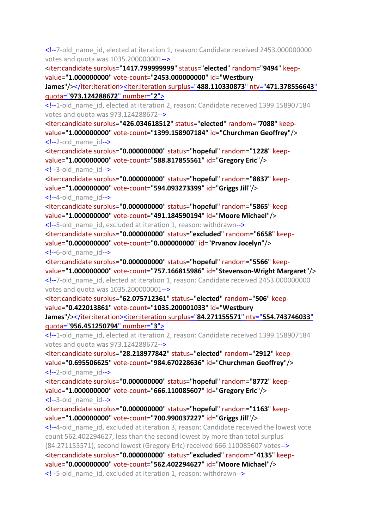<!--7-old\_name\_id, elected at iteration 1, reason: Candidate received 2453.000000000 votes and quota was 1035.200000001-->

<iter:candidate surplus="**1417.799999999**" status="**elected**" random="**9494**" keepvalue="**1.000000000**" vote-count="**2453.000000000**" id="**Westbury** 

**James**"/></iter:iteration><iter:iteration surplus="**[488.110330873](file:///C:/Program%20Files%20(x86)/STVCalculator/STVR/STV_Result_Election_KapitiCoastDistrictCouncil_Issue_WaikanaeCommunityBoard14_10_2019112805AM_N.xml)**" ntv="**471.378556643**" quota="**[973.124288672](file:///C:/Program%20Files%20(x86)/STVCalculator/STVR/STV_Result_Election_KapitiCoastDistrictCouncil_Issue_WaikanaeCommunityBoard14_10_2019112805AM_N.xml)**" number="**2**">

<!--1-old\_name\_id, elected at iteration 2, reason: Candidate received 1399.158907184 votes and quota was 973.124288672-->

<iter:candidate surplus="**426.034618512**" status="**elected**" random="**7088**" keepvalue="**1.000000000**" vote-count="**1399.158907184**" id="**Churchman Geoffrey**"/>  $\leq$  --2-old name  $id$ -->

<iter:candidate surplus="**0.000000000**" status="**hopeful**" random="**1228**" keepvalue="**1.000000000**" vote-count="**588.817855561**" id="**Gregory Eric**"/> <!--3-old\_name\_id-->

<iter:candidate surplus="**0.000000000**" status="**hopeful**" random="**8837**" keepvalue="**1.000000000**" vote-count="**594.093273399**" id="**Griggs Jill**"/>  $\leq$  --4-old name  $id$ -->

<iter:candidate surplus="**0.000000000**" status="**hopeful**" random="**5865**" keepvalue="**1.000000000**" vote-count="**491.184590194**" id="**Moore Michael**"/>

<!--5-old\_name\_id, excluded at iteration 1, reason: withdrawn-->

<iter:candidate surplus="**0.000000000**" status="**excluded**" random="**6658**" keepvalue="**0.000000000**" vote-count="**0.000000000**" id="**Prvanov Jocelyn**"/>  $\leq$  --6-old name  $id$ -->

<iter:candidate surplus="**0.000000000**" status="**hopeful**" random="**5566**" keepvalue="**1.000000000**" vote-count="**757.166815986**" id="**Stevenson-Wright Margaret**"/> <!--7-old\_name\_id, elected at iteration 1, reason: Candidate received 2453.000000000

votes and quota was 1035.200000001-->

<iter:candidate surplus="**62.075712361**" status="**elected**" random="**506**" keepvalue="**0.422013861**" vote-count="**1035.200001033**" id="**Westbury** 

**James**"/></iter:iteration><iter:iteration surplus="**84.271155571**" ntv="**[554.743746033](file:///C:/Program%20Files%20(x86)/STVCalculator/STVR/STV_Result_Election_KapitiCoastDistrictCouncil_Issue_WaikanaeCommunityBoard14_10_2019112805AM_N.xml)**" quota="**[956.451250794](file:///C:/Program%20Files%20(x86)/STVCalculator/STVR/STV_Result_Election_KapitiCoastDistrictCouncil_Issue_WaikanaeCommunityBoard14_10_2019112805AM_N.xml)**" number="**3**">

<!--1-old\_name\_id, elected at iteration 2, reason: Candidate received 1399.158907184 votes and quota was 973.124288672-->

<iter:candidate surplus="**28.218977842**" status="**elected**" random="**2912**" keepvalue="**0.695506625**" vote-count="**984.670228636**" id="**Churchman Geoffrey**"/>  $\leq$  --2-old name  $id$ -->

<iter:candidate surplus="**0.000000000**" status="**hopeful**" random="**8772**" keepvalue="**1.000000000**" vote-count="**666.110085607**" id="**Gregory Eric**"/> <!--3-old\_name\_id-->

<iter:candidate surplus="**0.000000000**" status="**hopeful**" random="**1163**" keepvalue="**1.000000000**" vote-count="**700.990037227**" id="**Griggs Jill**"/>

<!--4-old\_name\_id, excluded at iteration 3, reason: Candidate received the lowest vote count 562.402294627, less than the second lowest by more than total surplus (84.271155571), second lowest (Gregory Eric) received 666.110085607 votes--> <iter:candidate surplus="**0.000000000**" status="**excluded**" random="**4135**" keepvalue="**0.000000000**" vote-count="**562.402294627**" id="**Moore Michael**"/> <!--5-old\_name\_id, excluded at iteration 1, reason: withdrawn-->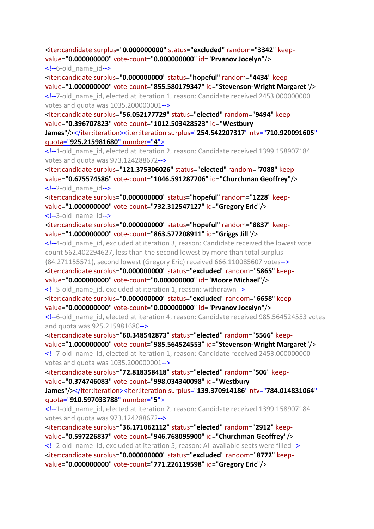<iter:candidate surplus="**0.000000000**" status="**excluded**" random="**3342**" keepvalue="**0.000000000**" vote-count="**0.000000000**" id="**Prvanov Jocelyn**"/>  $\leq$  --6-old name  $id$ -->

<iter:candidate surplus="**0.000000000**" status="**hopeful**" random="**4434**" keepvalue="**1.000000000**" vote-count="**855.580179347**" id="**Stevenson-Wright Margaret**"/> <!--7-old\_name\_id, elected at iteration 1, reason: Candidate received 2453.000000000 votes and quota was 1035.200000001-->

<iter:candidate surplus="**56.052177729**" status="**elected**" random="**9494**" keepvalue="**0.396707823**" vote-count="**1012.503428523**" id="**Westbury** 

**James**"/></iter:iteration><iter:iteration surplus="**[254.542207317](file:///C:/Program%20Files%20(x86)/STVCalculator/STVR/STV_Result_Election_KapitiCoastDistrictCouncil_Issue_WaikanaeCommunityBoard14_10_2019112805AM_N.xml)**" ntv="**710.920091605**" quota="**[925.215981680](file:///C:/Program%20Files%20(x86)/STVCalculator/STVR/STV_Result_Election_KapitiCoastDistrictCouncil_Issue_WaikanaeCommunityBoard14_10_2019112805AM_N.xml)**" number="**4**">

<!--1-old\_name\_id, elected at iteration 2, reason: Candidate received 1399.158907184 votes and quota was 973.124288672-->

<iter:candidate surplus="**121.375306026**" status="**elected**" random="**7088**" keepvalue="**0.675574586**" vote-count="**1046.591287706**" id="**Churchman Geoffrey**"/> <!--2-old\_name\_id-->

<iter:candidate surplus="**0.000000000**" status="**hopeful**" random="**1228**" keepvalue="**1.000000000**" vote-count="**732.312547127**" id="**Gregory Eric**"/> <!--3-old\_name\_id-->

<iter:candidate surplus="**0.000000000**" status="**hopeful**" random="**8837**" keepvalue="**1.000000000**" vote-count="**863.577208911**" id="**Griggs Jill**"/>

<!--4-old\_name\_id, excluded at iteration 3, reason: Candidate received the lowest vote count 562.402294627, less than the second lowest by more than total surplus (84.271155571), second lowest (Gregory Eric) received 666.110085607 votes-->

<iter:candidate surplus="**0.000000000**" status="**excluded**" random="**5865**" keepvalue="**0.000000000**" vote-count="**0.000000000**" id="**Moore Michael**"/>

<!--5-old\_name\_id, excluded at iteration 1, reason: withdrawn-->

<iter:candidate surplus="**0.000000000**" status="**excluded**" random="**6658**" keepvalue="**0.000000000**" vote-count="**0.000000000**" id="**Prvanov Jocelyn**"/>

<!--6-old\_name\_id, elected at iteration 4, reason: Candidate received 985.564524553 votes and quota was 925.215981680-->

<iter:candidate surplus="**60.348542873**" status="**elected**" random="**5566**" keepvalue="**1.000000000**" vote-count="**985.564524553**" id="**Stevenson-Wright Margaret**"/> <!--7-old\_name\_id, elected at iteration 1, reason: Candidate received 2453.000000000 votes and quota was 1035.200000001-->

<iter:candidate surplus="**72.818358418**" status="**elected**" random="**506**" keepvalue="**0.374746083**" vote-count="**998.034340098**" id="**Westbury** 

**James**"/></iter:iteration><iter:iteration surplus="**[139.370914186](file:///C:/Program%20Files%20(x86)/STVCalculator/STVR/STV_Result_Election_KapitiCoastDistrictCouncil_Issue_WaikanaeCommunityBoard14_10_2019112805AM_N.xml)**" ntv="**784.014831064**" quota="**[910.597033788](file:///C:/Program%20Files%20(x86)/STVCalculator/STVR/STV_Result_Election_KapitiCoastDistrictCouncil_Issue_WaikanaeCommunityBoard14_10_2019112805AM_N.xml)**" number="**5**">

<!--1-old\_name\_id, elected at iteration 2, reason: Candidate received 1399.158907184 votes and quota was 973.124288672-->

<iter:candidate surplus="**36.171062112**" status="**elected**" random="**2912**" keepvalue="**0.597226837**" vote-count="**946.768095900**" id="**Churchman Geoffrey**"/> <!--2-old\_name\_id, excluded at iteration 5, reason: All available seats were filled--> <iter:candidate surplus="**0.000000000**" status="**excluded**" random="**8772**" keepvalue="**0.000000000**" vote-count="**771.226119598**" id="**Gregory Eric**"/>